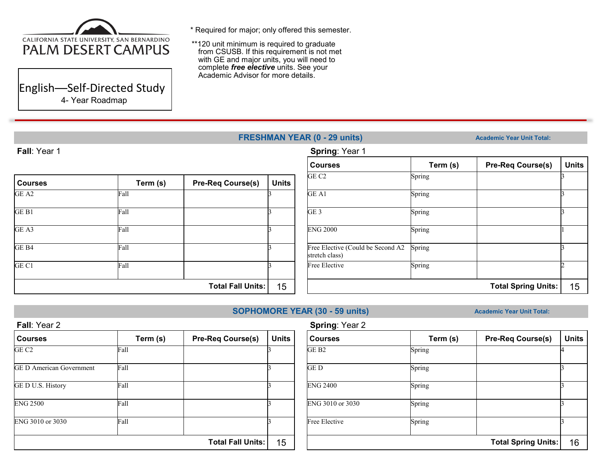

English—Self-Directed Study 4- Year Roadmap

\* Required for major; only offered this semester.

\*\*120 unit minimum is required to graduate from CSUSB. If this requirement is not met with GE and major units, you will need to complete *free elective* units. See your Academic Advisor for more details.

### **FRESHMAN YEAR (0 - 29 units) Academic Year Unit Total:**

### **Fall**: Year 1 **Spring**: Year 1

| <b>Courses</b>   | Term (s) | <b>Pre-Req Course(s)</b> | <b>Units</b> |
|------------------|----------|--------------------------|--------------|
| GE <sub>A2</sub> | Fall     |                          |              |
| GEB1             | Fall     |                          |              |
| GE A3            | Fall     |                          |              |
| GE <sub>B4</sub> | Fall     |                          |              |
| GE C1            | Fall     |                          |              |
|                  |          | <b>Total Fall Units:</b> | 15           |

| <b>Courses</b>                                      | Term (s) | <b>Pre-Req Course(s)</b>   | <b>Units</b> |
|-----------------------------------------------------|----------|----------------------------|--------------|
| GE <sub>C2</sub>                                    | Spring   |                            |              |
| GE A1                                               | Spring   |                            |              |
| GE <sub>3</sub>                                     | Spring   |                            |              |
| <b>ENG 2000</b>                                     | Spring   |                            |              |
| Free Elective (Could be Second A2<br>stretch class) | Spring   |                            |              |
| Free Elective                                       | Spring   |                            |              |
|                                                     |          | <b>Total Spring Units:</b> | 15           |

### **SOPHOMORE YEAR (30 - 59 units) Academic Year Unit Total:**

| <b>Fall:</b> Year 2             |          |                          |              | <b>Spring: Year 2</b> |
|---------------------------------|----------|--------------------------|--------------|-----------------------|
| <b>Courses</b>                  | Term (s) | <b>Pre-Req Course(s)</b> | <b>Units</b> | <b>Courses</b>        |
| GE C2                           | Fall     |                          |              | GE <sub>B2</sub>      |
| <b>GE D American Government</b> | Fall     |                          |              | <b>GED</b>            |
| GE D U.S. History               | Fall     |                          |              | <b>ENG 2400</b>       |
| <b>ENG 2500</b>                 | Fall     |                          |              | ENG 3010 or 3030      |
| ENG 3010 or 3030                | Fall     |                          |              | Free Elective         |
|                                 |          | <b>Total Fall Units:</b> | 15           |                       |

# **Courses Term (s) Pre-Req Course(s) Units** GE B2 Spring  $\left| \begin{array}{ccc} 4 & 4 \end{array} \right|$ GED Spring 3 ENG 2400 Spring 3 ENG 3010 or 3030 Spring Free Elective Spring **Total Spring Units:** 16